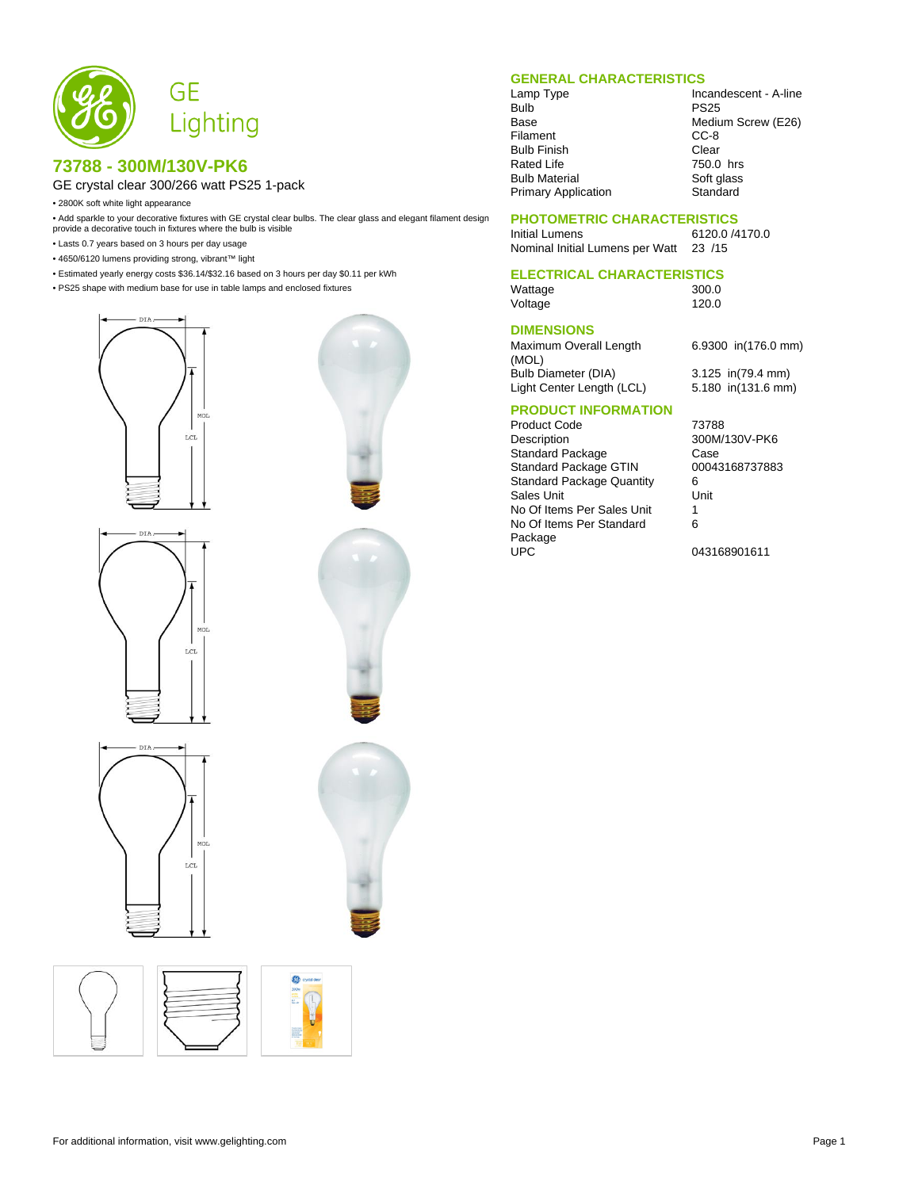

### **73788 - 300M/130V-PK6**

#### GE crystal clear 300/266 watt PS25 1-pack

• 2800K soft white light appearance

• Add sparkle to your decorative fixtures with GE crystal clear bulbs. The clear glass and elegant filament design provide a decorative touch in fixtures where the bulb is visible

- Lasts 0.7 years based on 3 hours per day usage
- 4650/6120 lumens providing strong, vibrant™ light
- Estimated yearly energy costs \$36.14/\$32.16 based on 3 hours per day \$0.11 per kWh
- PS25 shape with medium base for use in table lamps and enclosed fixtures

MO<sub>1</sub>  $LCL$ 











#### **GENERAL CHARACTERISTICS**

Filament Bulb Finish Clear<br>Rated Life **Clear** 750.0 hrs Rated Life Bulb Material Soft glass<br>
Primary Application Standard Primary Application

Lamp Type Incandescent - A-line<br>Bulb PS25 PS<sub>25</sub> Base Medium Screw (E26)<br>Filament CC-8

#### **PHOTOMETRIC CHARACTERISTICS**

Initial Lumens 6120.0 /4170.0<br>Nominal Initial Lumens per Watt 23 /15 Nominal Initial Lumens per Watt

# **ELECTRICAL CHARACTERISTICS**

Wattage 300.0<br>Voltage 120.0 Voltage

#### **DIMENSIONS**

Maximum Overall Length (MOL) Bulb Diameter (DIA) 3.125 in(79.4 mm) Light Center Length (LCL) 5.180 in(131.6 mm)

6.9300 in(176.0 mm)

## **PRODUCT INFORMATION**

Product Code 73788 Description 300M/130V-PK6 Standard Package Case Case<br>Standard Package GTIN 00043168737883 Standard Package GTIN Standard Package Quantity 6<br>Sales Unit Unit Sales Unit No Of Items Per Sales Unit 1 No Of Items Per Standard Package<br>UPC

6

043168901611